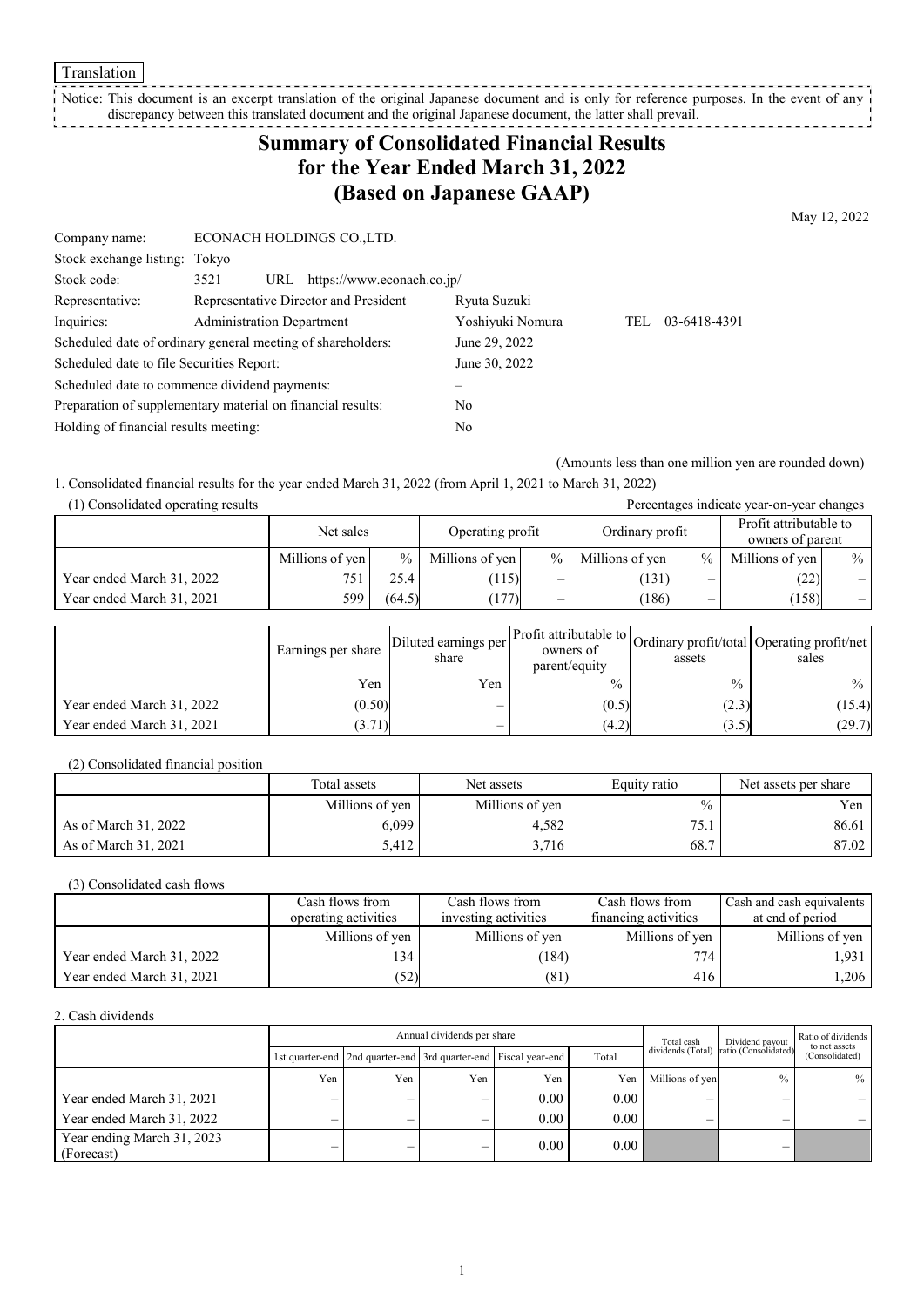Translation

Notice: This document is an excerpt translation of the original Japanese document and is only for reference purposes. In the event of any discrepancy between this translated document and the original Japanese document, the latter shall prevail. \_ \_ \_ \_ \_ \_ \_ \_

# **Summary of Consolidated Financial Results for the Year Ended March 31, 2022 (Based on Japanese GAAP)**

May 12, 2022

| Company name:                                               | ECONACH HOLDINGS CO., LTD.                                  |                  |     |              |
|-------------------------------------------------------------|-------------------------------------------------------------|------------------|-----|--------------|
| Stock exchange listing: Tokyo                               |                                                             |                  |     |              |
| Stock code:                                                 | https://www.econach.co.jp/<br>3521<br>URL                   |                  |     |              |
| Representative:                                             | Representative Director and President                       | Ryuta Suzuki     |     |              |
| Inquiries:                                                  | <b>Administration Department</b>                            | Yoshiyuki Nomura | TEL | 03-6418-4391 |
|                                                             | Scheduled date of ordinary general meeting of shareholders: | June 29, 2022    |     |              |
| Scheduled date to file Securities Report:                   |                                                             | June 30, 2022    |     |              |
|                                                             | Scheduled date to commence dividend payments:               |                  |     |              |
| Preparation of supplementary material on financial results: |                                                             | No               |     |              |
| Holding of financial results meeting:                       |                                                             | No               |     |              |

(Amounts less than one million yen are rounded down)

Percentages indicate year-on-year changes

1. Consolidated financial results for the year ended March 31, 2022 (from April 1, 2021 to March 31, 2022)

|--|

|                           | Net sales       |        | Operating profit |                          | Ordinary profit |               | Profit attributable to<br>owners of parent |                          |
|---------------------------|-----------------|--------|------------------|--------------------------|-----------------|---------------|--------------------------------------------|--------------------------|
|                           | Millions of yen | $\%$ 1 | Millions of yen  | $\%$                     | Millions of yen | $\frac{0}{0}$ | Millions of yen                            | $\frac{0}{0}$            |
| Year ended March 31, 2022 | 751             | 25.4   | (115)            | —                        | (131)           | —             | (22)                                       | —                        |
| Year ended March 31, 2021 | 599.            | (64.5) | 177)             | $\overline{\phantom{a}}$ | (186)           | —             | (158)                                      | $\overline{\phantom{0}}$ |

|                           | Earnings per share | Diluted earnings per l<br>share | owners of<br>parent/equity | assets        | Arr Profit attributable to Ordinary profit/total Operating profit/net<br>sales |
|---------------------------|--------------------|---------------------------------|----------------------------|---------------|--------------------------------------------------------------------------------|
|                           | Yen                | Yen                             | $\frac{0}{0}$              | $\frac{0}{0}$ | $\%$                                                                           |
| Year ended March 31, 2022 | (0.50)             |                                 | (0.5)                      | (2.3)         | (15.4)                                                                         |
| Year ended March 31, 2021 | (3.71)             |                                 | (4.2)                      | (3.5)         | (29.7)                                                                         |

(2) Consolidated financial position

|                      | Total assets    | Net assets      | Equity ratio  | Net assets per share |  |
|----------------------|-----------------|-----------------|---------------|----------------------|--|
|                      | Millions of yen | Millions of yen | $\frac{0}{0}$ | Yen <sub>1</sub>     |  |
| As of March 31, 2022 | 6,099           | 4.582           | 75.1          | 86.61                |  |
| As of March 31, 2021 | 5.412           | 3,716           | 68.7          | 87.02                |  |

(3) Consolidated cash flows

|                           | Cash flows from      | Cash flows from      | Cash flows from      | Cash and cash equivalents |
|---------------------------|----------------------|----------------------|----------------------|---------------------------|
|                           | operating activities | investing activities | financing activities | at end of period          |
|                           | Millions of yen      | Millions of yen      | Millions of yen      | Millions of yen           |
| Year ended March 31, 2022 | 34                   | (184)                | 774                  | 1,931                     |
| Year ended March 31, 2021 | 52)                  | (81)                 | 416                  | 1,206                     |

2. Cash dividends

| Annual dividends per share               |     |                                                                 |     |          |       | Total cash      | Dividend payout                        | Ratio of dividends              |
|------------------------------------------|-----|-----------------------------------------------------------------|-----|----------|-------|-----------------|----------------------------------------|---------------------------------|
|                                          |     | 1st quarter-end 2nd quarter-end 3rd quarter-end Fiscal year-end |     |          | Total |                 | dividends (Total) ratio (Consolidated) | to net assets<br>(Consolidated) |
|                                          | Yen | Yen                                                             | Yen | Yen      | Yen   | Millions of yen | $\frac{0}{0}$                          | $\%$                            |
| Year ended March 31, 2021                |     | –                                                               | –   | $0.00\,$ | 0.00  | –               |                                        |                                 |
| Year ended March 31, 2022                |     | –                                                               |     | $0.00 -$ | 0.00  |                 |                                        |                                 |
| Year ending March 31, 2023<br>(Forecast) |     | —                                                               | _   | 0.00     | 0.00  |                 |                                        |                                 |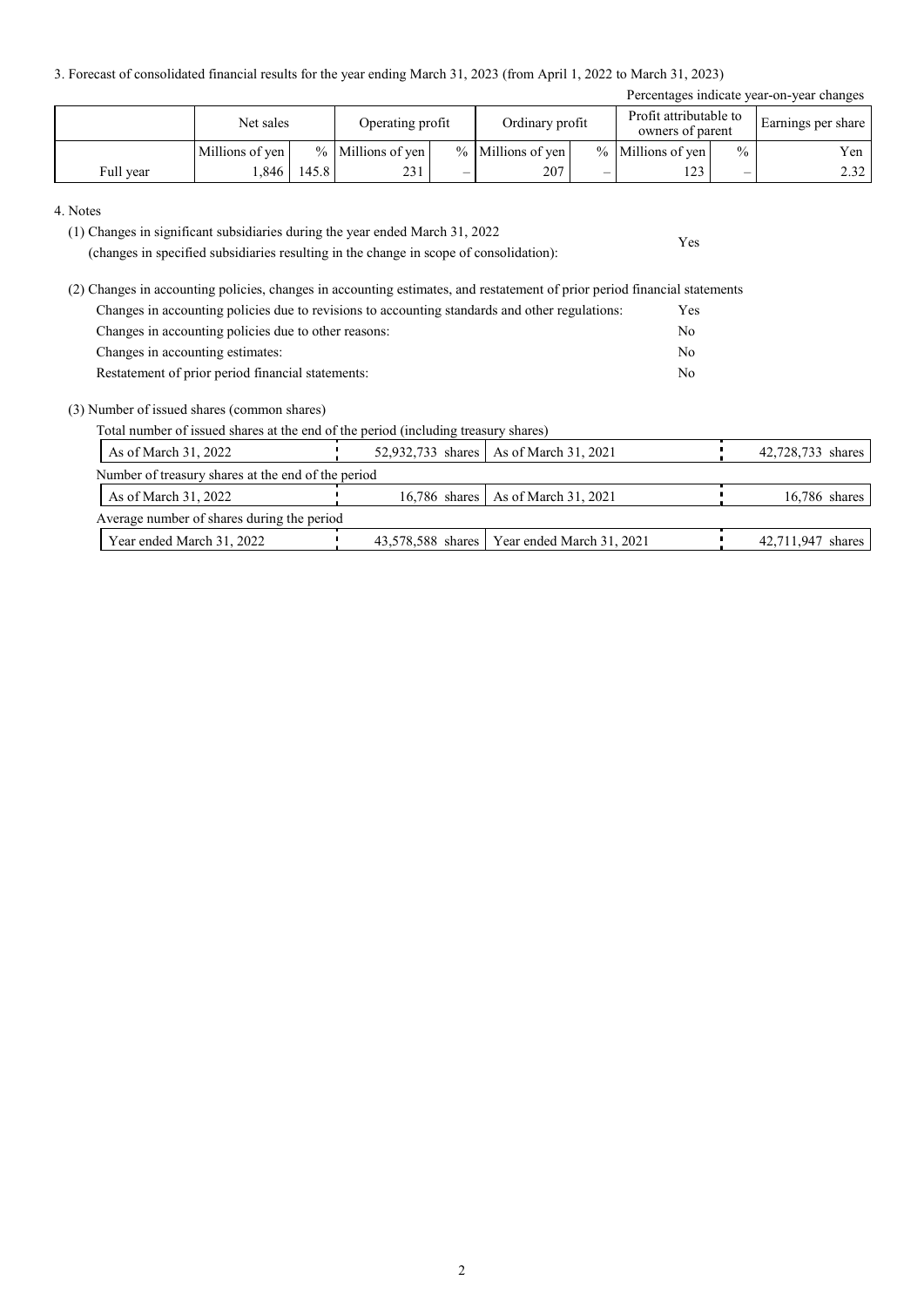3. Forecast of consolidated financial results for the year ending March 31, 2023 (from April 1, 2022 to March 31, 2023)

| Percentages indicate year-on-year changes |                 |       |                     |  |                     |  |                                            |               |                    |
|-------------------------------------------|-----------------|-------|---------------------|--|---------------------|--|--------------------------------------------|---------------|--------------------|
|                                           | Net sales       |       | Operating profit    |  | Ordinary profit     |  | Profit attributable to<br>owners of parent |               | Earnings per share |
|                                           | Millions of yen |       | $%$ Millions of yen |  | $%$ Millions of yen |  | % Millions of yen                          | $\frac{0}{0}$ | Yen                |
| Full year                                 | .846            | 145.8 | 231                 |  | 207                 |  | 173                                        | _             | 2.32               |

Yes

#### 4. Notes

(1) Changes in significant subsidiaries during the year ended March 31, 2022

(changes in specified subsidiaries resulting in the change in scope of consolidation):

(2) Changes in accounting policies, changes in accounting estimates, and restatement of prior period financial statements Changes in accounting policies due to revisions to accounting standards and other regulations: Yes Changes in accounting policies due to other reasons: No Changes in accounting estimates: No Restatement of prior period financial statements: No

#### (3) Number of issued shares (common shares)

Total number of issued shares at the end of the period (including treasury shares)

| As of March 31, 2022                               |  | 52,932,733 shares   As of March 31, 2021      |  | 42,728,733 shares |  |  |  |
|----------------------------------------------------|--|-----------------------------------------------|--|-------------------|--|--|--|
| Number of treasury shares at the end of the period |  |                                               |  |                   |  |  |  |
| As of March 31, 2022                               |  | 16.786 shares As of March 31, 2021            |  | $16,786$ shares   |  |  |  |
| Average number of shares during the period         |  |                                               |  |                   |  |  |  |
| Year ended March 31, 2022                          |  | 43,578,588 shares   Year ended March 31, 2021 |  | 42,711,947 shares |  |  |  |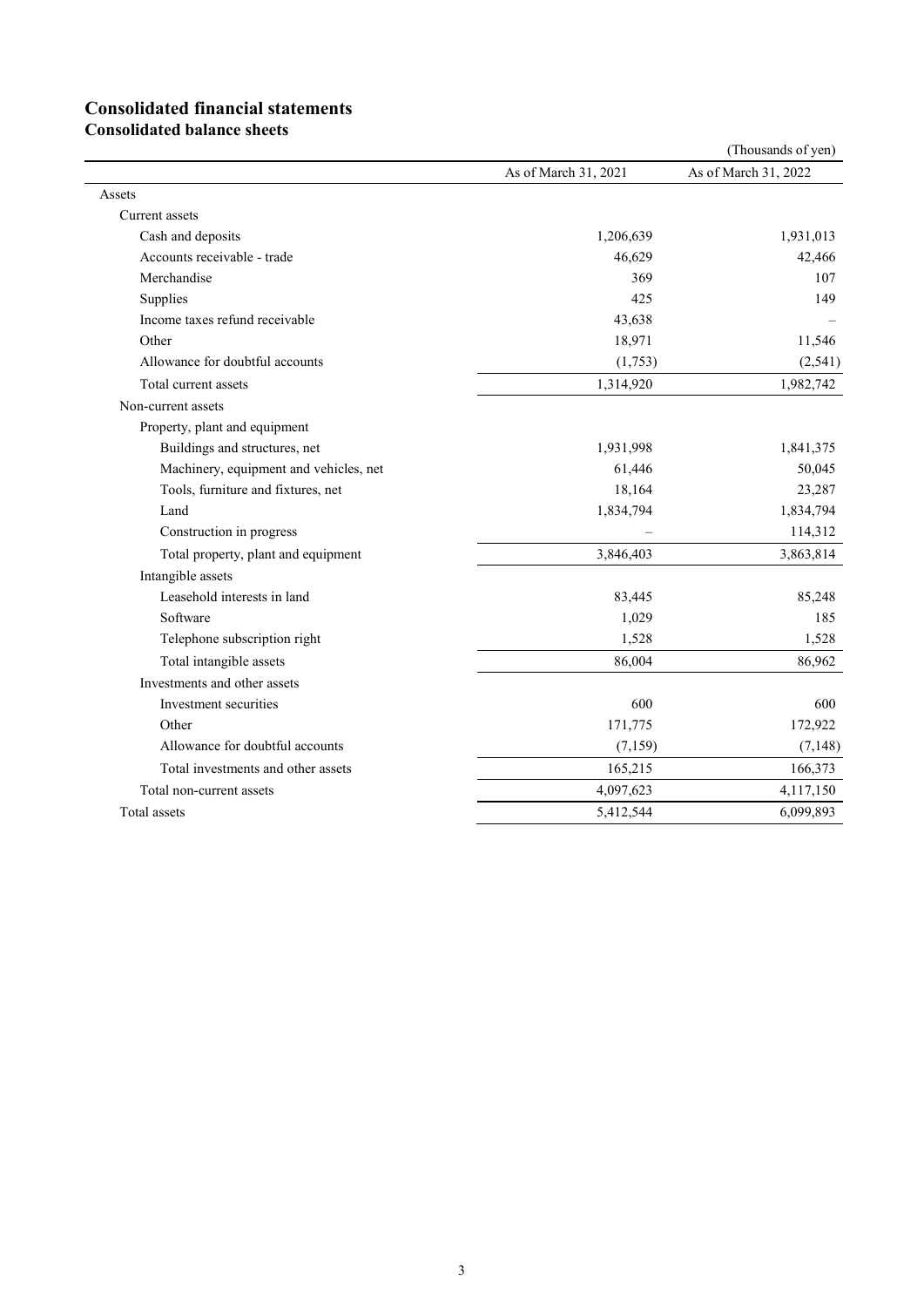# **Consolidated financial statements**

**Consolidated balance sheets**

|                                        |                      | (Thousands of yen)   |
|----------------------------------------|----------------------|----------------------|
|                                        | As of March 31, 2021 | As of March 31, 2022 |
| Assets                                 |                      |                      |
| Current assets                         |                      |                      |
| Cash and deposits                      | 1,206,639            | 1,931,013            |
| Accounts receivable - trade            | 46,629               | 42,466               |
| Merchandise                            | 369                  | 107                  |
| Supplies                               | 425                  | 149                  |
| Income taxes refund receivable         | 43,638               |                      |
| Other                                  | 18,971               | 11,546               |
| Allowance for doubtful accounts        | (1,753)              | (2, 541)             |
| Total current assets                   | 1,314,920            | 1,982,742            |
| Non-current assets                     |                      |                      |
| Property, plant and equipment          |                      |                      |
| Buildings and structures, net          | 1,931,998            | 1,841,375            |
| Machinery, equipment and vehicles, net | 61,446               | 50,045               |
| Tools, furniture and fixtures, net     | 18,164               | 23,287               |
| Land                                   | 1,834,794            | 1,834,794            |
| Construction in progress               |                      | 114,312              |
| Total property, plant and equipment    | 3,846,403            | 3,863,814            |
| Intangible assets                      |                      |                      |
| Leasehold interests in land            | 83,445               | 85,248               |
| Software                               | 1,029                | 185                  |
| Telephone subscription right           | 1,528                | 1,528                |
| Total intangible assets                | 86,004               | 86,962               |
| Investments and other assets           |                      |                      |
| Investment securities                  | 600                  | 600                  |
| Other                                  | 171,775              | 172,922              |
| Allowance for doubtful accounts        | (7, 159)             | (7, 148)             |
| Total investments and other assets     | 165,215              | 166,373              |
| Total non-current assets               | 4,097,623            | 4,117,150            |
| Total assets                           | 5,412,544            | 6,099,893            |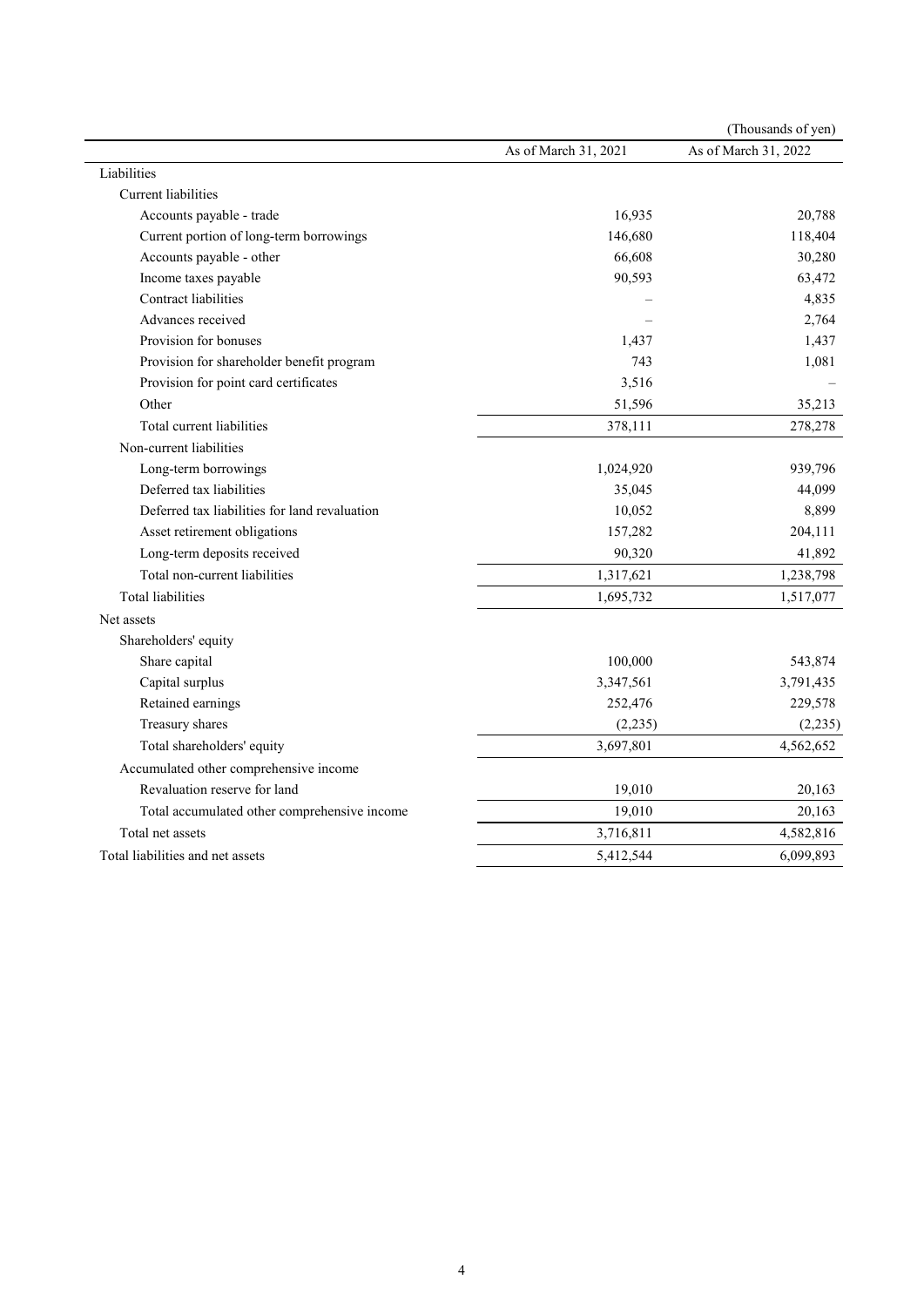|                                               |                      | (Thousands of yen)   |
|-----------------------------------------------|----------------------|----------------------|
|                                               | As of March 31, 2021 | As of March 31, 2022 |
| Liabilities                                   |                      |                      |
| <b>Current</b> liabilities                    |                      |                      |
| Accounts payable - trade                      | 16,935               | 20,788               |
| Current portion of long-term borrowings       | 146,680              | 118,404              |
| Accounts payable - other                      | 66,608               | 30,280               |
| Income taxes payable                          | 90,593               | 63,472               |
| Contract liabilities                          |                      | 4,835                |
| Advances received                             |                      | 2,764                |
| Provision for bonuses                         | 1,437                | 1,437                |
| Provision for shareholder benefit program     | 743                  | 1,081                |
| Provision for point card certificates         | 3,516                |                      |
| Other                                         | 51,596               | 35,213               |
| Total current liabilities                     | 378,111              | 278,278              |
| Non-current liabilities                       |                      |                      |
| Long-term borrowings                          | 1,024,920            | 939,796              |
| Deferred tax liabilities                      | 35,045               | 44,099               |
| Deferred tax liabilities for land revaluation | 10,052               | 8,899                |
| Asset retirement obligations                  | 157,282              | 204,111              |
| Long-term deposits received                   | 90,320               | 41,892               |
| Total non-current liabilities                 | 1,317,621            | 1,238,798            |
| <b>Total liabilities</b>                      | 1,695,732            | 1,517,077            |
| Net assets                                    |                      |                      |
| Shareholders' equity                          |                      |                      |
| Share capital                                 | 100,000              | 543,874              |
| Capital surplus                               | 3,347,561            | 3,791,435            |
| Retained earnings                             | 252,476              | 229,578              |
| Treasury shares                               | (2,235)              | (2,235)              |
| Total shareholders' equity                    | 3,697,801            | 4,562,652            |
| Accumulated other comprehensive income        |                      |                      |
| Revaluation reserve for land                  | 19,010               | 20,163               |
| Total accumulated other comprehensive income  | 19,010               | 20,163               |
| Total net assets                              | 3,716,811            | 4,582,816            |
| Total liabilities and net assets              | 5,412,544            | 6,099,893            |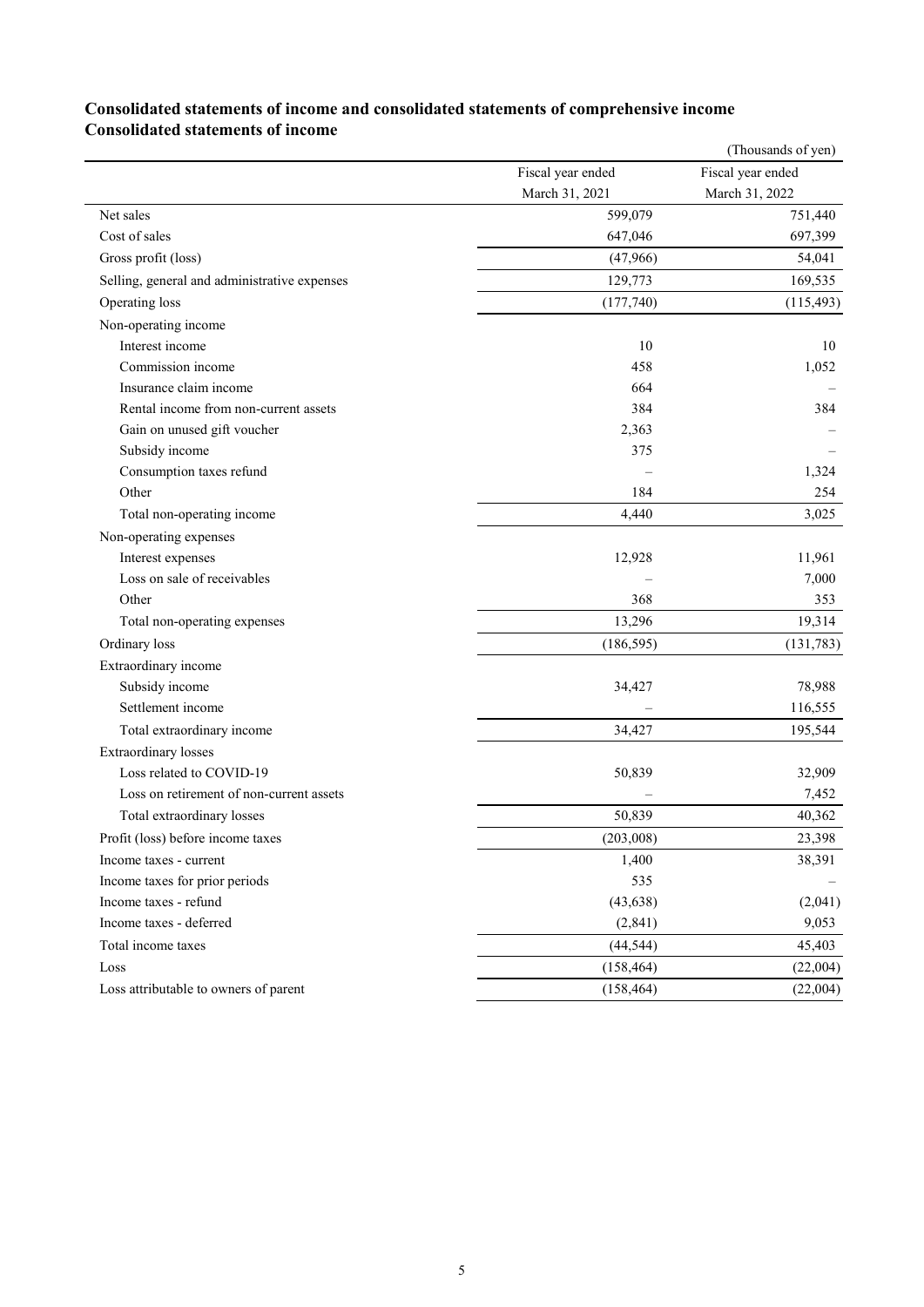## **Consolidated statements of income and consolidated statements of comprehensive income Consolidated statements of income**

|                                              |                   | (Thousands of yen) |
|----------------------------------------------|-------------------|--------------------|
|                                              | Fiscal year ended | Fiscal year ended  |
|                                              | March 31, 2021    | March 31, 2022     |
| Net sales                                    | 599,079           | 751,440            |
| Cost of sales                                | 647,046           | 697,399            |
| Gross profit (loss)                          | (47,966)          | 54,041             |
| Selling, general and administrative expenses | 129,773           | 169,535            |
| Operating loss                               | (177,740)         | (115, 493)         |
| Non-operating income                         |                   |                    |
| Interest income                              | 10                | 10                 |
| Commission income                            | 458               | 1,052              |
| Insurance claim income                       | 664               |                    |
| Rental income from non-current assets        | 384               | 384                |
| Gain on unused gift voucher                  | 2,363             |                    |
| Subsidy income                               | 375               |                    |
| Consumption taxes refund                     |                   | 1,324              |
| Other                                        | 184               | 254                |
| Total non-operating income                   | 4,440             | 3,025              |
| Non-operating expenses                       |                   |                    |
| Interest expenses                            | 12,928            | 11,961             |
| Loss on sale of receivables                  |                   | 7,000              |
| Other                                        | 368               | 353                |
| Total non-operating expenses                 | 13,296            | 19,314             |
| Ordinary loss                                | (186, 595)        | (131, 783)         |
| Extraordinary income                         |                   |                    |
| Subsidy income                               | 34,427            | 78,988             |
| Settlement income                            |                   | 116,555            |
| Total extraordinary income                   | 34,427            | 195,544            |
| <b>Extraordinary losses</b>                  |                   |                    |
| Loss related to COVID-19                     | 50,839            | 32,909             |
| Loss on retirement of non-current assets     |                   | 7,452              |
| Total extraordinary losses                   | 50,839            | 40,362             |
| Profit (loss) before income taxes            | (203,008)         | 23,398             |
| Income taxes - current                       | 1,400             | 38,391             |
| Income taxes for prior periods               | 535               |                    |
| Income taxes - refund                        | (43, 638)         | (2,041)            |
| Income taxes - deferred                      | (2,841)           | 9,053              |
| Total income taxes                           | (44, 544)         | 45,403             |
| Loss                                         | (158, 464)        | (22,004)           |
| Loss attributable to owners of parent        | (158, 464)        | (22,004)           |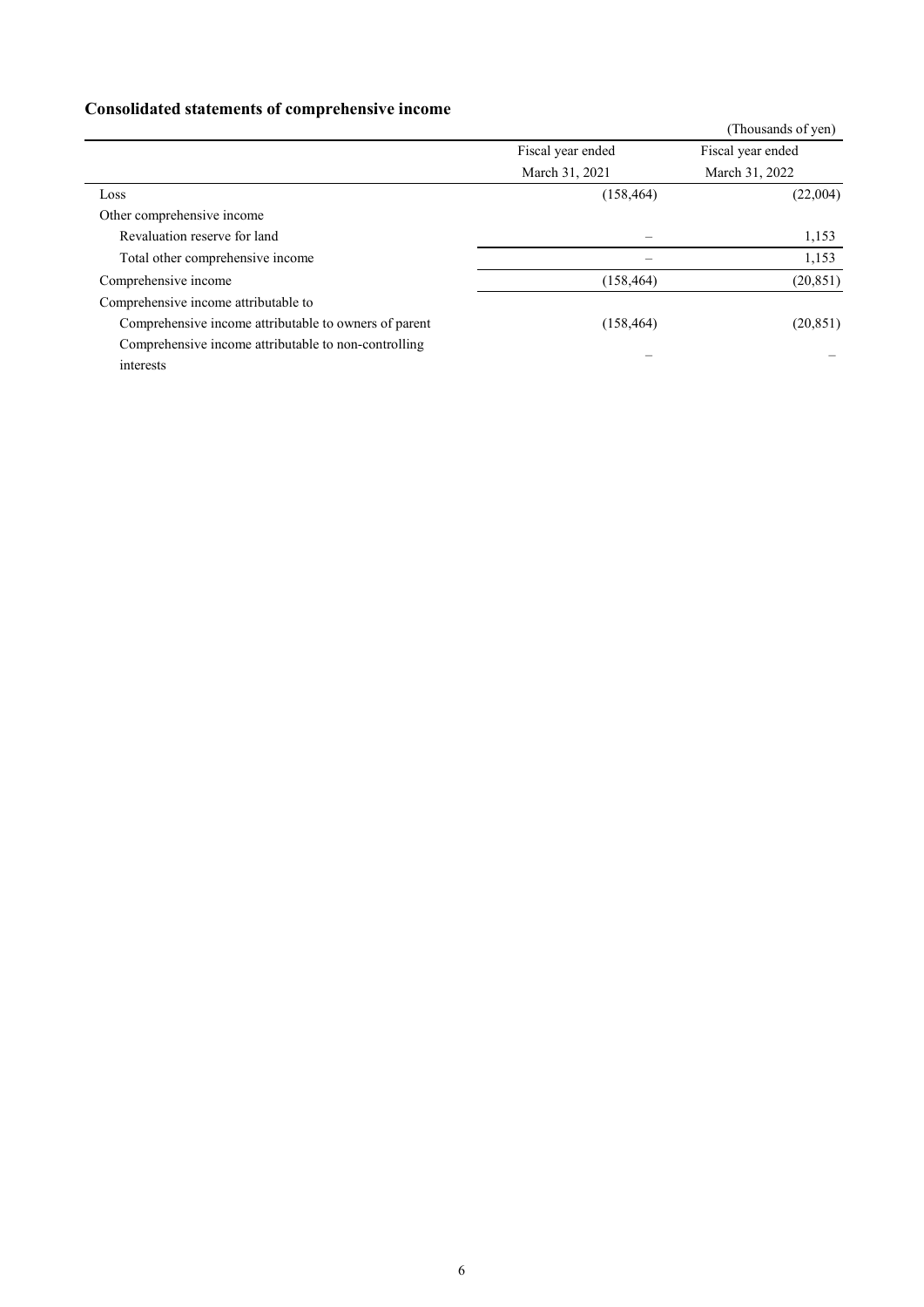# **Consolidated statements of comprehensive income**

| <u>consolidative surfacements of complements in modific</u> |                   |                    |
|-------------------------------------------------------------|-------------------|--------------------|
|                                                             |                   | (Thousands of yen) |
|                                                             | Fiscal year ended | Fiscal year ended  |
|                                                             | March 31, 2021    | March 31, 2022     |
| Loss                                                        | (158, 464)        | (22,004)           |
| Other comprehensive income                                  |                   |                    |
| Revaluation reserve for land                                |                   | 1,153              |
| Total other comprehensive income                            |                   | 1,153              |
| Comprehensive income                                        | (158, 464)        | (20, 851)          |
| Comprehensive income attributable to                        |                   |                    |
| Comprehensive income attributable to owners of parent       | (158, 464)        | (20, 851)          |
| Comprehensive income attributable to non-controlling        |                   |                    |
| interests                                                   |                   |                    |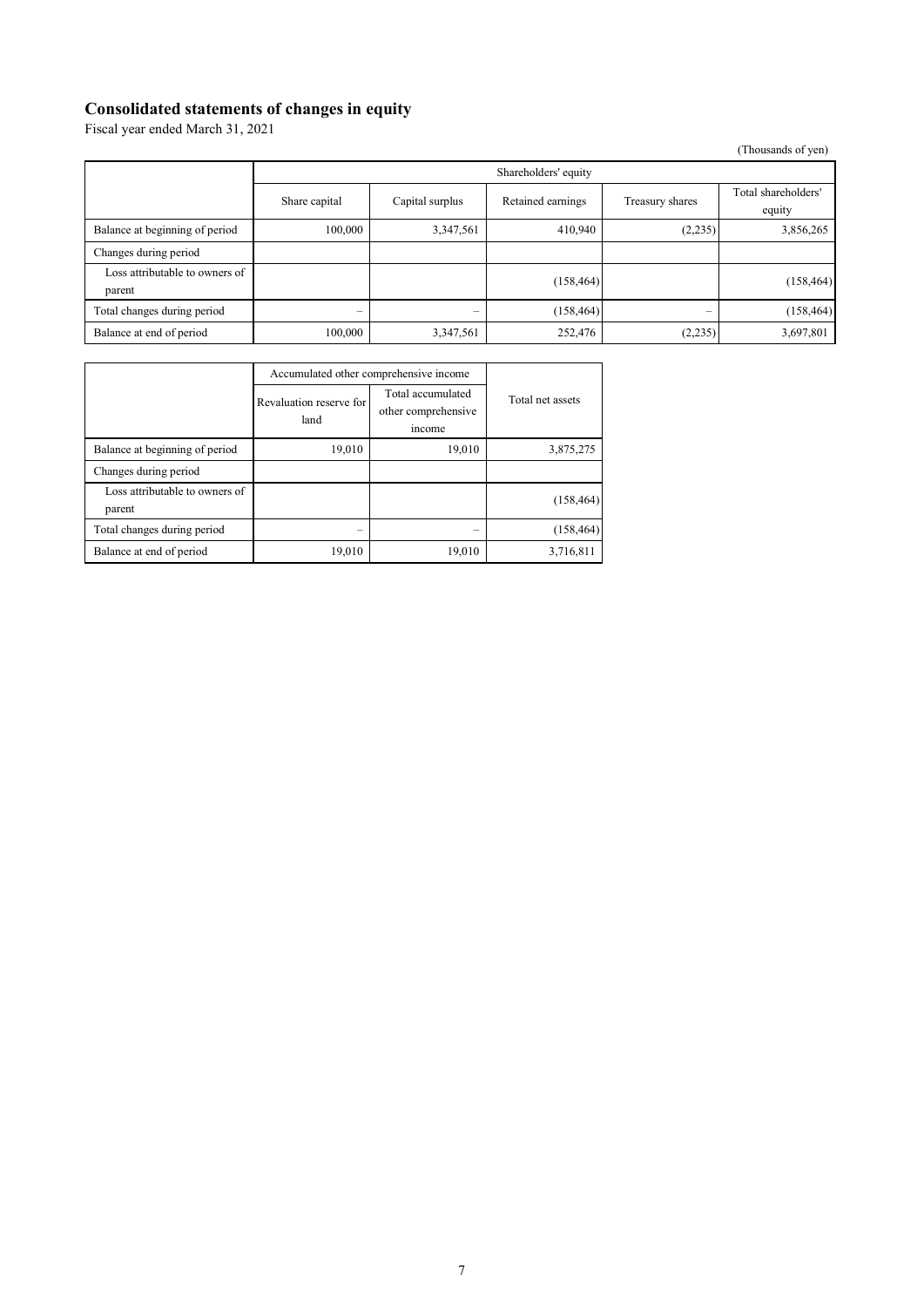### **Consolidated statements of changes in equity**

Fiscal year ended March 31, 2021

(Thousands of yen)

|                                          | Shareholders' equity |                 |                   |                 |                               |
|------------------------------------------|----------------------|-----------------|-------------------|-----------------|-------------------------------|
|                                          | Share capital        | Capital surplus | Retained earnings | Treasury shares | Total shareholders'<br>equity |
| Balance at beginning of period           | 100,000              | 3,347,561       | 410,940           | (2,235)         | 3,856,265                     |
| Changes during period                    |                      |                 |                   |                 |                               |
| Loss attributable to owners of<br>parent |                      |                 | (158, 464)        |                 | (158, 464)                    |
| Total changes during period              | -                    |                 | (158, 464)        | -               | (158, 464)                    |
| Balance at end of period                 | 100,000              | 3,347,561       | 252,476           | (2,235)         | 3,697,801                     |

|                                          | Accumulated other comprehensive income |                                                    |                  |
|------------------------------------------|----------------------------------------|----------------------------------------------------|------------------|
|                                          | Revaluation reserve for<br>land        | Total accumulated<br>other comprehensive<br>income | Total net assets |
| Balance at beginning of period           | 19,010                                 | 19,010                                             | 3,875,275        |
| Changes during period                    |                                        |                                                    |                  |
| Loss attributable to owners of<br>parent |                                        |                                                    | (158, 464)       |
| Total changes during period              | -                                      |                                                    | (158, 464)       |
| Balance at end of period                 | 19,010                                 | 19,010                                             | 3,716,811        |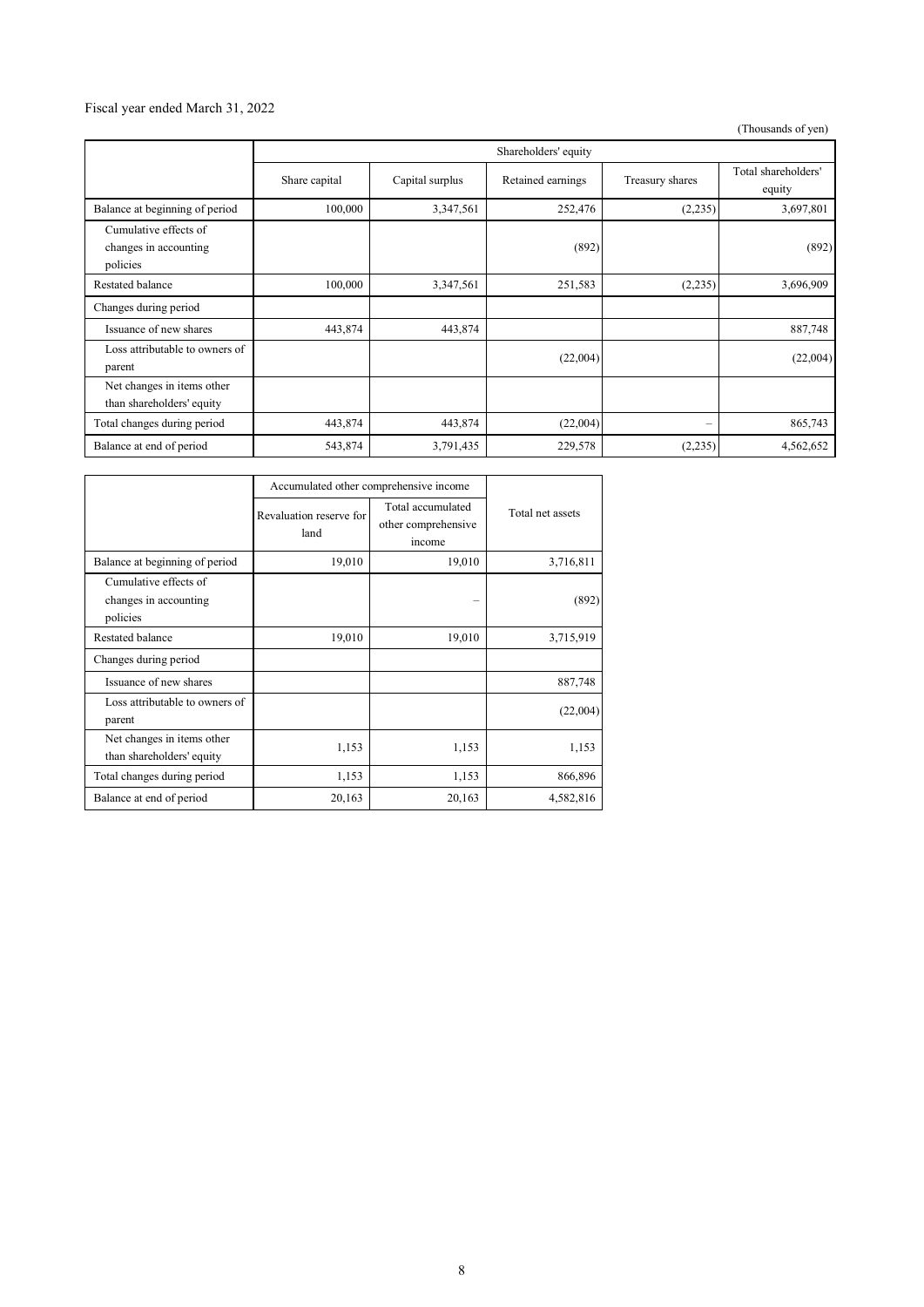### Fiscal year ended March 31, 2022

(Thousands of yen)

|                                                            | Shareholders' equity |                 |                   |                          |                               |
|------------------------------------------------------------|----------------------|-----------------|-------------------|--------------------------|-------------------------------|
|                                                            | Share capital        | Capital surplus | Retained earnings | Treasury shares          | Total shareholders'<br>equity |
| Balance at beginning of period                             | 100,000              | 3,347,561       | 252,476           | (2,235)                  | 3,697,801                     |
| Cumulative effects of<br>changes in accounting<br>policies |                      |                 | (892)             |                          | (892)                         |
| Restated balance                                           | 100,000              | 3,347,561       | 251,583           | (2,235)                  | 3,696,909                     |
| Changes during period                                      |                      |                 |                   |                          |                               |
| Issuance of new shares                                     | 443,874              | 443,874         |                   |                          | 887,748                       |
| Loss attributable to owners of<br>parent                   |                      |                 | (22,004)          |                          | (22,004)                      |
| Net changes in items other<br>than shareholders' equity    |                      |                 |                   |                          |                               |
| Total changes during period                                | 443,874              | 443,874         | (22,004)          | $\overline{\phantom{0}}$ | 865,743                       |
| Balance at end of period                                   | 543,874              | 3,791,435       | 229,578           | (2,235)                  | 4,562,652                     |

|                                                            | Accumulated other comprehensive income |                                                    |                  |
|------------------------------------------------------------|----------------------------------------|----------------------------------------------------|------------------|
|                                                            | Revaluation reserve for<br>land        | Total accumulated<br>other comprehensive<br>income | Total net assets |
| Balance at beginning of period                             | 19,010                                 | 19,010                                             | 3,716,811        |
| Cumulative effects of<br>changes in accounting<br>policies |                                        |                                                    | (892)            |
| Restated balance                                           | 19,010                                 | 19,010                                             | 3,715,919        |
| Changes during period                                      |                                        |                                                    |                  |
| Issuance of new shares                                     |                                        |                                                    | 887,748          |
| Loss attributable to owners of<br>parent                   |                                        |                                                    | (22,004)         |
| Net changes in items other<br>than shareholders' equity    | 1,153                                  | 1,153                                              | 1,153            |
| Total changes during period                                | 1,153                                  | 1,153                                              | 866,896          |
| Balance at end of period                                   | 20,163                                 | 20,163                                             | 4,582,816        |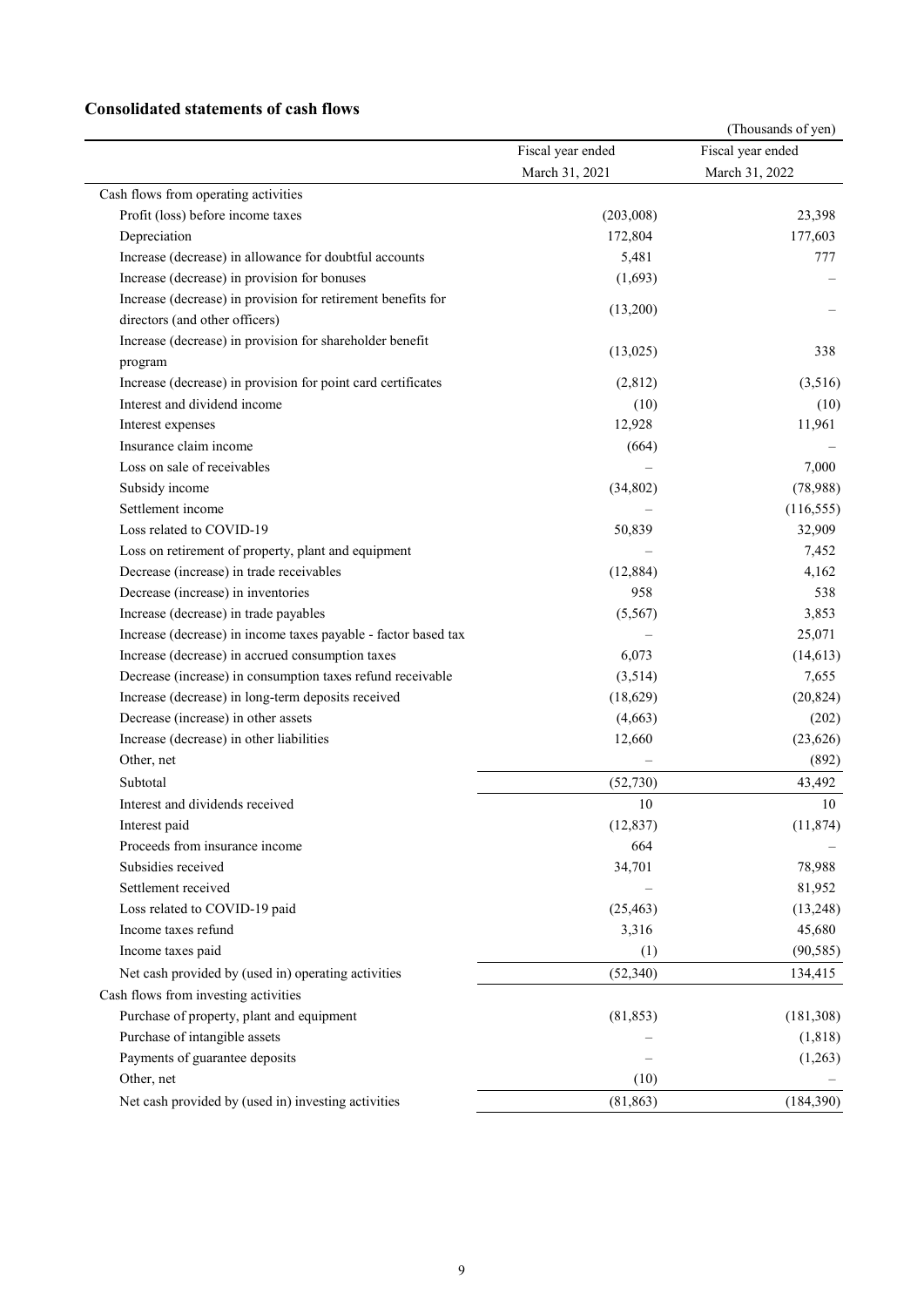## **Consolidated statements of cash flows**

|                                                                |                   | (Thousands of yen) |
|----------------------------------------------------------------|-------------------|--------------------|
|                                                                | Fiscal year ended | Fiscal year ended  |
|                                                                | March 31, 2021    | March 31, 2022     |
| Cash flows from operating activities                           |                   |                    |
| Profit (loss) before income taxes                              | (203,008)         | 23,398             |
| Depreciation                                                   | 172,804           | 177,603            |
| Increase (decrease) in allowance for doubtful accounts         | 5,481             | 777                |
| Increase (decrease) in provision for bonuses                   | (1,693)           |                    |
| Increase (decrease) in provision for retirement benefits for   |                   |                    |
| directors (and other officers)                                 | (13,200)          |                    |
| Increase (decrease) in provision for shareholder benefit       |                   |                    |
| program                                                        | (13,025)          | 338                |
| Increase (decrease) in provision for point card certificates   | (2,812)           | (3,516)            |
| Interest and dividend income                                   | (10)              | (10)               |
| Interest expenses                                              | 12,928            | 11,961             |
| Insurance claim income                                         | (664)             |                    |
| Loss on sale of receivables                                    |                   | 7,000              |
| Subsidy income                                                 | (34, 802)         | (78,988)           |
| Settlement income                                              |                   | (116, 555)         |
| Loss related to COVID-19                                       | 50,839            | 32,909             |
| Loss on retirement of property, plant and equipment            |                   | 7,452              |
| Decrease (increase) in trade receivables                       | (12, 884)         | 4,162              |
| Decrease (increase) in inventories                             | 958               | 538                |
| Increase (decrease) in trade payables                          | (5, 567)          | 3,853              |
| Increase (decrease) in income taxes payable - factor based tax |                   | 25,071             |
| Increase (decrease) in accrued consumption taxes               | 6,073             | (14, 613)          |
| Decrease (increase) in consumption taxes refund receivable     | (3,514)           | 7,655              |
| Increase (decrease) in long-term deposits received             | (18,629)          | (20, 824)          |
| Decrease (increase) in other assets                            | (4,663)           | (202)              |
| Increase (decrease) in other liabilities                       | 12,660            | (23, 626)          |
| Other, net                                                     |                   | (892)              |
| Subtotal                                                       | (52, 730)         | 43,492             |
| Interest and dividends received                                | 10                | 10                 |
| Interest paid                                                  | (12, 837)         | (11, 874)          |
| Proceeds from insurance income                                 | 664               |                    |
| Subsidies received                                             | 34,701            | 78,988             |
| Settlement received                                            |                   | 81,952             |
| Loss related to COVID-19 paid                                  | (25, 463)         | (13,248)           |
| Income taxes refund                                            | 3,316             | 45,680             |
| Income taxes paid                                              | (1)               | (90, 585)          |
| Net cash provided by (used in) operating activities            | (52, 340)         | 134,415            |
| Cash flows from investing activities                           |                   |                    |
| Purchase of property, plant and equipment                      |                   |                    |
|                                                                | (81, 853)         | (181, 308)         |
| Purchase of intangible assets                                  |                   | (1, 818)           |
| Payments of guarantee deposits                                 |                   | (1,263)            |
| Other, net                                                     | (10)              |                    |
| Net cash provided by (used in) investing activities            | (81, 863)         | (184, 390)         |